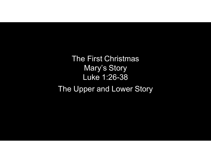The First Christmas Mary's Story Luke 1:26-38 The Upper and Lower Story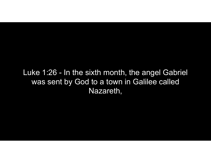Luke 1:26 - In the sixth month, the angel Gabriel<br>was sent by God to a town in Galilee called<br>Nazareth was sent by God to a town in Galilee called Nazareth,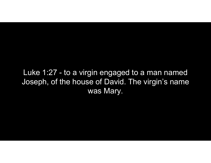Luke 1:27 - to a virgin engaged to a man named<br>Joseph, of the house of David. The virgin's name Joseph, of the house of David. The virgin's name was Mary.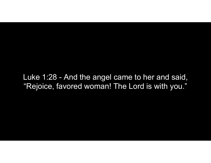Luke 1:28 - And the angel came to her and said,<br>"Rejoice, favored woman! The Lord is with you." "Rejoice, favored woman! The Lord is with you."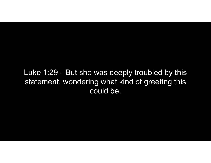Luke 1:29 - But she was deeply troubled by this<br>statement, wondering what kind of greeting this statement, wondering what kind of greeting this could be.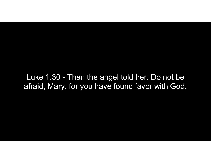Luke 1:30 - Then the angel told her: Do not be<br>fraid, Mary, for you have found favor with God. afraid, Mary, for you have found favor with God.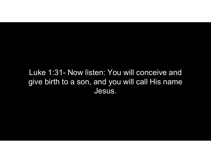## Luke 1:31- Now listen: You will conceive and<br>give birth to a son, and you will call His name give birth to a son, and you will call His name Jesus.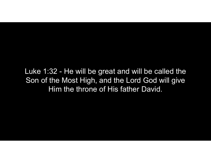Luke 1:32 - He will be great and will be called the<br>Son of the Most High, and the Lord God will give<br>Him the throne of His father David Son of the Most High, and the Lord God will give Him the throne of His father David.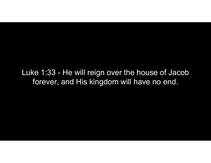Luke 1:33 - He will reign over the house of Jacob<br>forever, and His kingdom will have no end. forever, and His kingdom will have no end.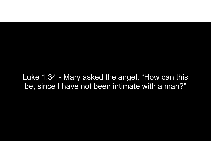Luke 1:34 - Mary asked the angel, "How can this<br>be, since I have not been intimate with a man?" be, since I have not been intimate with a man?"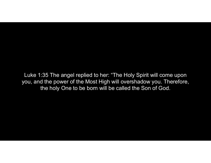Luke 1:35 The angel replied to her: "The Holy Spirit will come upon you, and the power of the Most High will overshadow you. Therefore, the holy One to be born will be called the Son of God.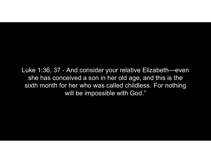Luke 1:36, 37 - And consider your relative Elizabeth—even<br>she has conceived a son in her old age, and this is the<br>sixth month for her who was called childless. For nothing she has conceived a son in her old age, and this is the sixth month for her who was called childless. For nothing will be impossible with God."